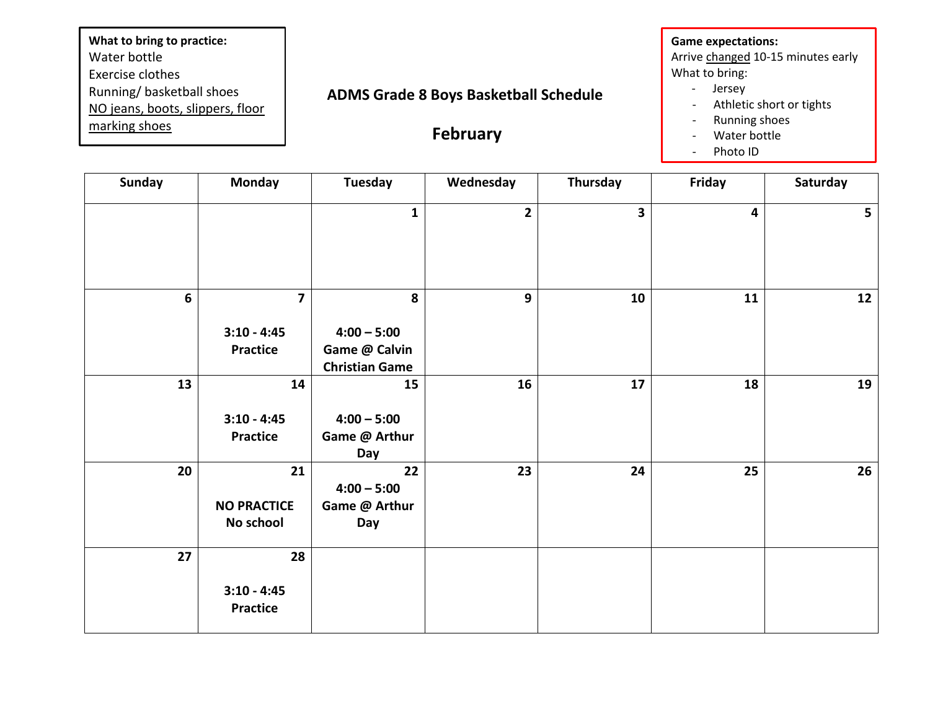## **ADMS Grade 8 Boys Basketball Schedule February Game expectations:** Arrive changed 10-15 minutes early What to bring: - Jersey - Athletic short or tights - Running shoes - Water bottle **What to bring to practice:** Water bottle Exercise clothes Running/ basketball shoes NO jeans, boots, slippers, floor marking shoes

| Photo ID |  |
|----------|--|
|----------|--|

| <b>Sunday</b> | <b>Monday</b>                         | <b>Tuesday</b>                                          | Wednesday      | Thursday                | Friday                  | Saturday       |
|---------------|---------------------------------------|---------------------------------------------------------|----------------|-------------------------|-------------------------|----------------|
|               |                                       | $\mathbf{1}$                                            | $\overline{2}$ | $\overline{\mathbf{3}}$ | $\overline{\mathbf{4}}$ | 5 <sub>1</sub> |
| 6             | $\overline{\mathbf{z}}$               | 8                                                       | 9              | 10                      | 11                      | 12             |
|               | $3:10 - 4:45$<br>Practice             | $4:00 - 5:00$<br>Game @ Calvin<br><b>Christian Game</b> |                |                         |                         |                |
| 13            | 14<br>$3:10 - 4:45$<br>Practice       | 15<br>$4:00 - 5:00$<br>Game @ Arthur<br>Day             | 16             | ${\bf 17}$              | 18                      | 19             |
| 20            | 21<br><b>NO PRACTICE</b><br>No school | 22<br>$4:00 - 5:00$<br>Game @ Arthur<br>Day             | 23             | 24                      | 25                      | 26             |
| 27            | 28<br>$3:10 - 4:45$<br>Practice       |                                                         |                |                         |                         |                |